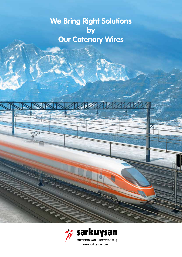**We Bring Right Solutions by Our Catenary Wires**

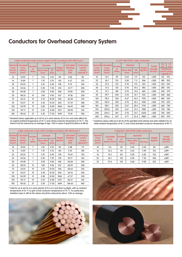## **Conductors for Overhead Catenary System**

| Cable conductors made of pure copper Cu-ETP according to DIN 48201 part 1 |                                                                                                                                   |                                                |                          |                   |                   |                                               |                                                 |  |  |  |
|---------------------------------------------------------------------------|-----------------------------------------------------------------------------------------------------------------------------------|------------------------------------------------|--------------------------|-------------------|-------------------|-----------------------------------------------|-------------------------------------------------|--|--|--|
| <b>Nominal</b>                                                            | <b>Calculated</b><br><b>Cross</b><br><b>Cross</b><br><b>Section</b><br><b>Section</b><br>(mm <sup>2</sup> )<br>(mm <sup>2</sup> ) | <b>Number</b><br><sub>of</sub><br><b>Wires</b> | <b>Diameter</b>          |                   | Weight<br>(kg/km) | Calculated<br><b>Breaking</b><br>Load<br>(kN) | Continuous<br>current<br>carring<br>capacity A* |  |  |  |
|                                                                           |                                                                                                                                   |                                                | <b>Mono Wire</b><br>(mm) | <b>OD</b><br>(mm) |                   |                                               |                                                 |  |  |  |
| 10                                                                        | 10.02                                                                                                                             | 7                                              | 1.35                     | 4.10              | 90                | 4.02                                          | 90                                              |  |  |  |
| 16                                                                        | 15.89                                                                                                                             | $\overline{7}$                                 | 1.70                     | 5.10              | 143               | 6.37                                          | 125                                             |  |  |  |
| 25                                                                        | 24.25                                                                                                                             | $\overline{7}$                                 | 2.10                     | 6.30              | 218               | 9.72                                          | 160                                             |  |  |  |
| 35                                                                        | 34.36                                                                                                                             | $\overline{7}$                                 | 2.50                     | 7.50              | 310               | 13.77                                         | 200                                             |  |  |  |
| 50                                                                        | 49.48                                                                                                                             | $\overline{7}$                                 | 3.00                     | 9.00              | 446               | 19.84                                         | 250                                             |  |  |  |
| 50                                                                        | 48.35                                                                                                                             | 19                                             | 1.80                     | 9.00              | 437               | 19.38                                         | 250                                             |  |  |  |
| 70                                                                        | 65.31                                                                                                                             | 19                                             | 2.10                     | 10.50             | 596               | 26.38                                         | 310                                             |  |  |  |
| 95                                                                        | 93.27                                                                                                                             | 19                                             | 2.50                     | 12.50             | 845               | 37.39                                         | 380                                             |  |  |  |
| 120                                                                       | 116.99                                                                                                                            | 19                                             | 2.80                     | 14.00             | 1060              | 46.90                                         | 440                                             |  |  |  |
| 150                                                                       | 147.11                                                                                                                            | 37                                             | 2.25                     | 15.80             | 1337              | 58.98                                         | 510                                             |  |  |  |
| 185                                                                       | 181.62                                                                                                                            | 37                                             | 2.50                     | 17.50             | 1649              | 72.81                                         | 585                                             |  |  |  |

\* Standard values applicable up to 60 Hz at a wind velocity of 0.6 m/s and solar effects for an original ambient temperature of 35 °C and a final conductor temperature of 70 °C. The values must be reduced by an average of app. %30 in cases of special locations at still air.

| Cable conductors made of Bz II (CuMg) according to DIN 48201 part 2 |                                                                           |                              |                          |                   |                   |                                               |                                                        |  |  |  |
|---------------------------------------------------------------------|---------------------------------------------------------------------------|------------------------------|--------------------------|-------------------|-------------------|-----------------------------------------------|--------------------------------------------------------|--|--|--|
| Nominal<br><b>Cross</b><br><b>Section</b><br>(mm <sup>2</sup> )     | <b>Calculated</b><br><b>Cross</b><br><b>Section</b><br>(mm <sup>2</sup> ) | Number<br>of<br><b>Wires</b> | <b>Diameter</b>          |                   | Weight<br>(kg/km) | Calculated<br><b>Breaking</b><br>Load<br>(kN) | <b>Continuous</b><br>current<br>carring<br>capacity A* |  |  |  |
|                                                                     |                                                                           |                              | <b>Mono Wire</b><br>(mm) | <b>OD</b><br>(mm) |                   |                                               |                                                        |  |  |  |
| 10                                                                  | 10.02                                                                     | 7                            | 1.35                     | 4.10              | 90                | 5.88                                          | 75                                                     |  |  |  |
| 16                                                                  | 15.89                                                                     | 7                            | 1.70                     | 5.10              | 143               | 9.33                                          | 100                                                    |  |  |  |
| 25                                                                  | 24.25                                                                     | 7                            | 2.10                     | 6.30              | 218               | 14.24                                         | 130                                                    |  |  |  |
| 35                                                                  | 34.36                                                                     | 7                            | 2.50                     | 7.50              | 310               | 20.17                                         | 160                                                    |  |  |  |
| 50                                                                  | 49.48                                                                     | 7                            | 3.00                     | 9.00              | 446               | 28.58                                         | 200                                                    |  |  |  |
| 50                                                                  | 48.35                                                                     | 19                           | 1.80                     | 9.00              | 437               | 28.39                                         | 200                                                    |  |  |  |
| 70                                                                  | 65.81                                                                     | 19                           | 2.10                     | 10.50             | 596               | 38.64                                         | 245                                                    |  |  |  |
| 95                                                                  | 93.27                                                                     | 19                           | 2.50                     | 12.50             | 845               | 54.76                                         | 305                                                    |  |  |  |
| 120                                                                 | 116.99                                                                    | 19                           | 2.80                     | 14.00             | 1060              | 67.57                                         | 350                                                    |  |  |  |
| 150                                                                 | 147.11                                                                    | 37                           | 2.25                     | 15.80             | 1337              | 86.37                                         | 410                                                    |  |  |  |
| 185                                                                 | 181.62                                                                    | 37                           | 2.50                     | 17.50             | 1649              | 106.63                                        | 465                                                    |  |  |  |

\* Valid for up to 60 Hz at a wind velocity of 0.6 m/s and direct sunlight, with an ambient temperature of 35 °C to give a final conductor temperature of 70 °C. For particulary shielded cases in still air the values should be reduced by about %30 on average.



| Cu-ETP DIN 43138 Cable Conductors |                                                                                                                 |                                     |                          |            |                   |                                                           |                                              |            |  |  |
|-----------------------------------|-----------------------------------------------------------------------------------------------------------------|-------------------------------------|--------------------------|------------|-------------------|-----------------------------------------------------------|----------------------------------------------|------------|--|--|
| <b>Nominal</b>                    | <b>Calculated</b><br><b>Cross</b><br><b>Cross</b><br><b>Section</b><br>(mm <sup>2</sup> )<br>(mm <sup>2</sup> ) | <b>Number</b><br>of<br><b>Wires</b> | <b>Diameter</b>          |            |                   | <b>Tensile</b><br><b>Strength</b><br>(N/mm <sup>2</sup> ) | 0,6<br>m/s                                   | 1,0<br>m/s |  |  |
| <b>Section</b>                    |                                                                                                                 |                                     | <b>Mono Wire</b><br>(mm) | OD<br>(mm) | Weight<br>(kg/km) |                                                           | Continuous<br>current carring<br>capacity A* |            |  |  |
| 16                                | 16.3                                                                                                            | 49                                  | 0.65                     | 5.9        | 152               | $<$ 300                                                   | 135                                          | 155        |  |  |
| 25                                | 26.1                                                                                                            | 133                                 | 0.50                     | 7.5        | 246               | $<$ 300                                                   | 180                                          | 205        |  |  |
| 35                                | 37.6                                                                                                            | 133                                 | 0.70                     | 9.0        | 353               | < 300                                                     | 225                                          | 255        |  |  |
| 50                                | 51.2                                                                                                            | 133                                 | 0.70                     | 10.5       | 482               | $<$ 300                                                   | 280                                          | 310        |  |  |
| 70                                | 72.7                                                                                                            | 189                                 | 0.70                     | 13.0       | 685               | $<$ 300                                                   | 340                                          | 370        |  |  |
| 95                                | 99.7                                                                                                            | 259                                 | 0.70                     | 14.7       | 935               | $<$ 300                                                   | 420                                          | 460        |  |  |
| 120                               | 118.5                                                                                                           | 336                                 | 0.67                     | 16.4       | 1120              | < 300                                                     | 485                                          | 535        |  |  |
| 150                               | 150.9                                                                                                           | 392                                 | 0.70                     | 18.3       | 1420              | $<$ 300                                                   | 570                                          | 625        |  |  |
| 185                               | 185.1                                                                                                           | 525                                 | 0.67                     | 20.4       | 1745              | $300$                                                     | 660                                          | 720        |  |  |
| 210                               | 209.8                                                                                                           | 595                                 | 0.67                     | 21.5       | 1980              | $300$                                                     | 720                                          | 780        |  |  |
| 240                               | 245.2                                                                                                           | 367                                 | 0.70                     | 23.1       | 2320              | $300$                                                     | 785                                          | 850        |  |  |
| 300                               | 296.6                                                                                                           | 637                                 | 0.77                     | 25.4       | 2800              | $<$ 300                                                   | 895                                          | 970        |  |  |

\* Guidance values valid up to 60 Hz at the specified wind velocity and solar radiation for an initial ambient temperature of 40 °C and a final stranded-conductor temperature of 80 °C.

| CuMq (Bz II) DIN 43138 Cable Conductors                                |                                     |                    |                          |         |         |                                                           |  |  |  |
|------------------------------------------------------------------------|-------------------------------------|--------------------|--------------------------|---------|---------|-----------------------------------------------------------|--|--|--|
| <b>Nominal</b><br><b>Cross</b><br><b>Section</b><br>(mm <sup>2</sup> ) | Calculated                          | <b>Number</b>      | <b>Diameter</b>          |         | Weight  | <b>Tensile</b><br><b>Strength</b><br>(N/mm <sup>2</sup> ) |  |  |  |
|                                                                        | Cross<br>Section (mm <sup>2</sup> ) | of<br><b>Wires</b> | <b>Mono Wire</b><br>(mm) | OD (mm) | (kg/km) |                                                           |  |  |  |
| 10                                                                     | 9.6                                 | 49                 | 0.50                     | 4.50    | 89      | >589                                                      |  |  |  |
| 16                                                                     | 16.3                                | 49                 | 0.65                     | 5.90    | 152     | >589                                                      |  |  |  |
| 16                                                                     | 16.3                                | 84                 |                          | 6.20    | 152     | >589                                                      |  |  |  |
| 25                                                                     | 26.1                                | 133                | 0.50<br>7.50             |         | 246     | >589                                                      |  |  |  |
| 35                                                                     | 37.6                                | 133                | 0.60                     | 9.00    | 353     | >589                                                      |  |  |  |



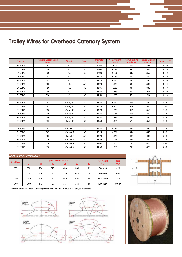# **Conductors for Overhead Catenary System Trolley Wires for Overhead Catenary System**

| Standard | <b>Nominal Cross Section</b><br>(mm <sup>2</sup> ) | <b>Material</b> | <b>Type</b> | <b>Diameter</b><br>(mm) | Nom. Weight<br>(kg/m) | Nom. Breaking<br>Load (kN) | <b>Tensile Strength</b><br>(N/mm <sup>2</sup> ) | Elongation (%) |
|----------|----------------------------------------------------|-----------------|-------------|-------------------------|-----------------------|----------------------------|-------------------------------------------------|----------------|
| EN 50149 | 80                                                 | Cu              | AC          | 10.60                   | 0.712                 | 27.5                       | 355                                             | $3 - 10$       |
| EN 50149 | 100                                                | Cu              | AC          | 12.00                   | 0.890                 | 34.5                       | 355                                             | $3 - 10$       |
| EN 50149 | 100                                                | Cu              | <b>BC</b>   | 12.00                   | 0.890                 | 34.5                       | 355                                             | $3 - 10$       |
| EN 50149 | 107                                                | Cu              | AC          | 12.30                   | 0.952                 | 36.3                       | 350                                             | $3 - 10$       |
| EN 50149 | 107                                                | Cu              | <b>BC</b>   | 12.24                   | 0.952                 | 36.3                       | 350                                             | $3 - 10$       |
| EN 50149 | 120                                                | Cu              | AC          | 13.20                   | 1.068                 | 38.4                       | 330                                             | $3 - 10$       |
| EN 50149 | 120                                                | Cu              | <b>BC</b>   | 12.85                   | 1.068                 | 38.4                       | 330                                             | $3 - 10$       |
| EN 50149 | 150                                                | Cu              | AC          | 14.80                   | 1.335                 | 45.1                       | 310                                             | $3 - 10$       |
| EN 50149 | 150                                                | Cu              | BC          | 14.50                   | 1.335                 | 45.1                       | 310                                             | $3 - 10$       |
|          |                                                    |                 |             |                         |                       |                            |                                                 |                |
| EN 50149 | 107                                                | Cu-Aq 0.1       | AC          | 12.30                   | 0.952                 | 37.4                       | 360                                             | $3 - 8$        |
| EN 50149 | 107                                                | Cu-Aq 0.1       | <b>BC</b>   | 12.24                   | 0.952                 | 37.4                       | 360                                             | $3 - 8$        |
| EN 50149 | 120                                                | Cu-Aq 0.1       | AC          | 13.20                   | 1.068                 | 41.9                       | 360                                             | $3 - 8$        |
| EN 50149 | 120                                                | Cu-Aq 0.1       | <b>BC</b>   | 12.85                   | 1.068                 | 41.9                       | 360                                             | $3 - 8$        |
| EN 50149 | 150                                                | Cu-Aq 0.1       | AC          | 14.80                   | 1.335                 | 52.4                       | 360                                             | $3 - 8$        |
| EN 50149 | 150                                                | Cu-Aq 0.1       | BC          | 14.50                   | 1.335                 | 52.4                       | 360                                             | $3 - 8$        |
|          |                                                    |                 |             |                         |                       |                            |                                                 |                |
| EN 50149 | 107                                                | Cu-Sn 0.2       | AC          | 12.30                   | 0.952                 | 44.6                       | 440                                             | $2 - 8$        |
| EN 50149 | 107                                                | $Cu-Sn0.2$      | <b>BC</b>   | 12.24                   | 0.952                 | 44.6                       | 440                                             | $2 - 8$        |
| EN 50149 | 120                                                | $Cu-Sn0.2$      | AC          | 13.20                   | 1.068                 | 48.9                       | 430                                             | $2 - 8$        |
| EN 50149 | 120                                                | $Cu-Sn0.2$      | <b>BC</b>   | 12.85                   | 1.068                 | 48.9                       | 430                                             | $2 - 8$        |
| EN 50149 | 150                                                | $Cu-Sn0.2$      | AC          | 14.80                   | 1.335                 | 61.1                       | 420                                             | $2 - 8$        |
| EN 50149 | 150                                                | $Cu-Sn0.2$      | <b>BC</b>   | 14.50                   | 1.335                 | 61.1                       | 420                                             | $2 - 8$        |

| <b>WOODEN SPOOL SPECIFICATIONS</b> |      |                |            |      |     |    |           |           |  |  |
|------------------------------------|------|----------------|------------|------|-----|----|-----------|-----------|--|--|
| Spool Type                         |      |                | Net Weight | Tare |     |    |           |           |  |  |
|                                    | D    | d <sub>1</sub> | d2         | IJ   | L2  | L3 | (Kg)      | (Kg)      |  |  |
| 630                                | 630  | 280            | 127        | 430  | 380 | 25 | 300-450   | ~28       |  |  |
| 800                                | 800  | 460            | 127        | 530  | 470 | 30 | 700-800   | $~1$ - 30 |  |  |
| 1250                               | 1250 | 700            | 80         | 580  | 460 | 60 | 1500-2500 | ~200      |  |  |
| 1300                               | 1300 | 810            | 127        | 515  | 355 | 80 | 1200-1350 | 160-189   |  |  |



\* Please contact with Export Marketing Department for other product sizes or type of packing.